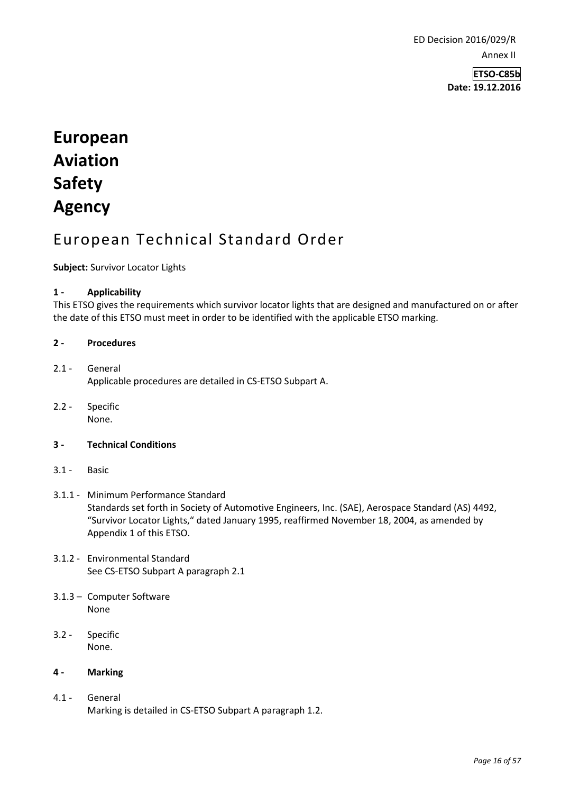ED Decision 2016/029/R Annex II

> **ETSO-C85b Date: 19.12.2016**

# **European Aviation Safety Agency**

# European Technical Standard Order

**Subject:** Survivor Locator Lights

# **1 - Applicability**

This ETSO gives the requirements which survivor locator lights that are designed and manufactured on or after the date of this ETSO must meet in order to be identified with the applicable ETSO marking.

# **2 - Procedures**

# 2.1 - General Applicable procedures are detailed in CS-ETSO Subpart A.

2.2 - Specific None.

# **3 - Technical Conditions**

3.1 - Basic

#### 3.1.1 - Minimum Performance Standard Standards set forth in Society of Automotive Engineers, Inc. (SAE), Aerospace Standard (AS) 4492, "Survivor Locator Lights," dated January 1995, reaffirmed November 18, 2004, as amended by Appendix 1 of this ETSO.

- 3.1.2 Environmental Standard See CS-ETSO Subpart A paragraph 2.1
- 3.1.3 Computer Software None
- 3.2 Specific None.

# **4 - Marking**

4.1 - General Marking is detailed in CS-ETSO Subpart A paragraph 1.2.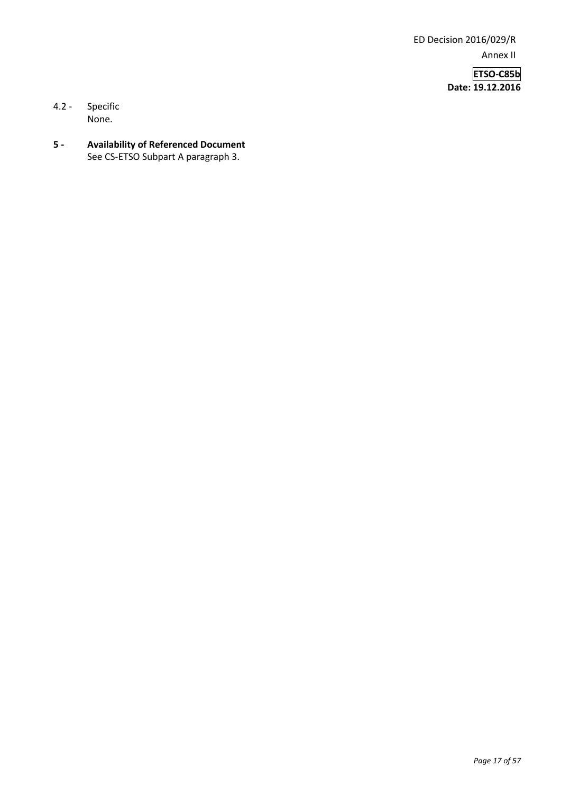ED Decision 2016/029/R Annex II

> **ETSO-C85b Date: 19.12.2016**

- 4.2 Specific None.
- **5 - Availability of Referenced Document**  See CS-ETSO Subpart A paragraph 3.